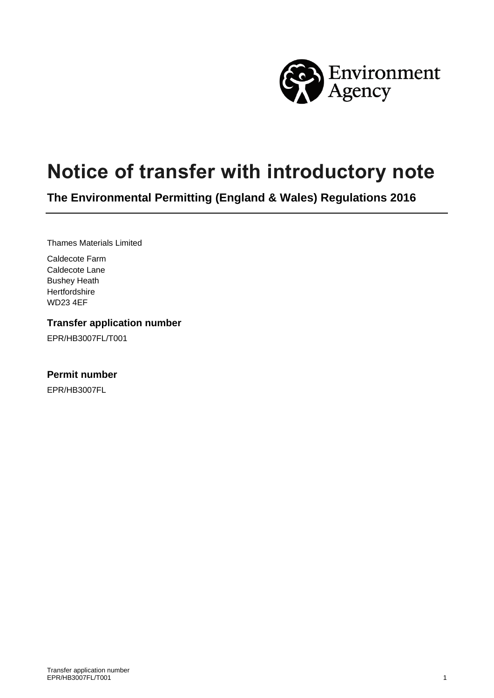

# **Notice of transfer with introductory note**

**The Environmental Permitting (England & Wales) Regulations 2016**

Thames Materials Limited

Caldecote Farm Caldecote Lane Bushey Heath Hertfordshire WD23 4EF

**Transfer application number**

EPR/HB3007FL/T001

#### **Permit number**

EPR/HB3007FL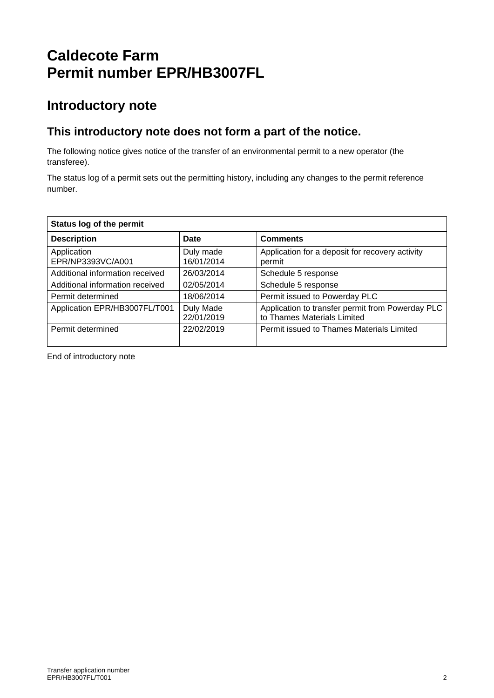# **Caldecote Farm Permit number EPR/HB3007FL**

## **Introductory note**

### **This introductory note does not form a part of the notice.**

The following notice gives notice of the transfer of an environmental permit to a new operator (the transferee).

The status log of a permit sets out the permitting history, including any changes to the permit reference number.

| Status log of the permit         |                         |                                                                                 |  |
|----------------------------------|-------------------------|---------------------------------------------------------------------------------|--|
| <b>Description</b>               | Date                    | <b>Comments</b>                                                                 |  |
| Application<br>EPR/NP3393VC/A001 | Duly made<br>16/01/2014 | Application for a deposit for recovery activity<br>permit                       |  |
| Additional information received  | 26/03/2014              | Schedule 5 response                                                             |  |
| Additional information received  | 02/05/2014              | Schedule 5 response                                                             |  |
| Permit determined                | 18/06/2014              | Permit issued to Powerday PLC                                                   |  |
| Application EPR/HB3007FL/T001    | Duly Made<br>22/01/2019 | Application to transfer permit from Powerday PLC<br>to Thames Materials Limited |  |
| Permit determined                | 22/02/2019              | Permit issued to Thames Materials Limited                                       |  |

End of introductory note